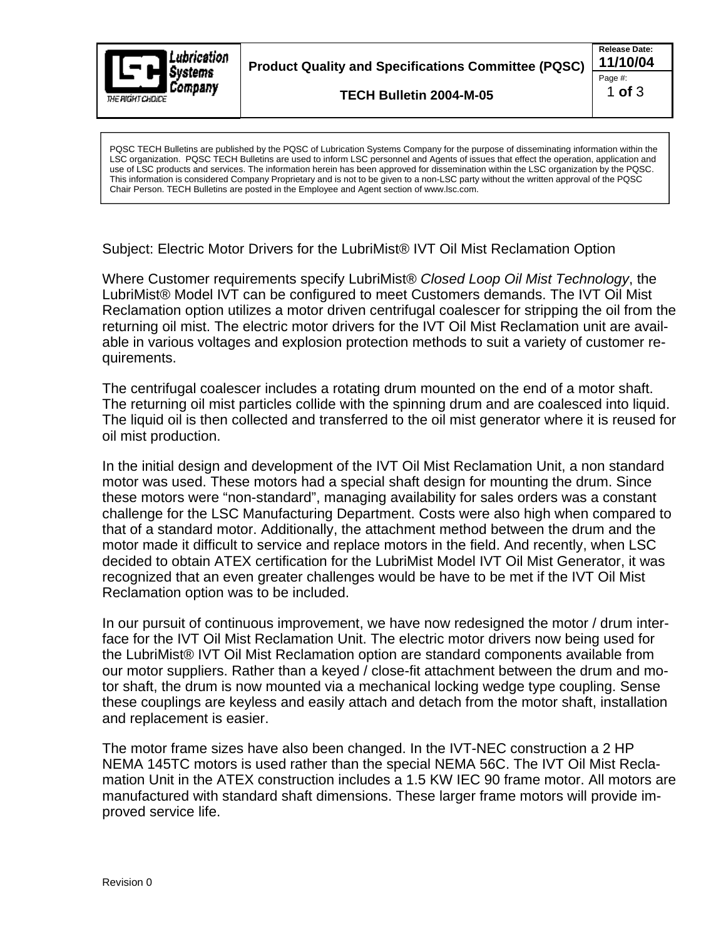

**Product Quality and Specifications Committee (PQSC) 11/10/04**

**TECH Bulletin 2004-M-05**

**Release Date:** Page #:  $\qquad \qquad \blacksquare$ 1 **of** 3

LSC organization. PQSC TECH Bulletins are used to inform LSC personnel and Agents of issues that effect the operation, application and use of LSC products and services. The information herein has been approved for dissemination within the LSC organization by the PQSC. This information is considered Company Proprietary and is not to be given to a non-LSC party without the written approval of the PQSC Chair Person. TECH Bulletins are posted in the Employee and Agent section of www.lsc.com.

Subject: Electric Motor Drivers for the LubriMist® IVT Oil Mist Reclamation Option

Where Customer requirements specify LubriMist® Closed Loop Oil Mist Technology, the LubriMist® Model IVT can be configured to meet Customers demands. The IVT Oil Mist Reclamation option utilizes a motor driven centrifugal coalescer for stripping the oil from the returning oil mist. The electric motor drivers for the IVT Oil Mist Reclamation unit are available in various voltages and explosion protection methods to suit a variety of customer re quirements.

The centrifugal coalescer includes a rotating drum mounted on the end of a motor shaft. The returning oil mist particles collide with the spinning drum and are coalesced into liquid. The liquid oil is then collected and transferred to the oil mist generator where it is reused for oil mist production.

In the initial design and development of the IVT Oil Mist Reclamation Unit, a non standard motor was used. These motors had a special shaft design for mounting the drum. Since these motors were "non-standard", managing availability for sales orders was a constant challenge for the LSC Manufacturing Department. Costs were also high when compared to that of a standard motor. Additionally, the attachment method between the drum and the motor made it difficult to service and replace motors in the field. And recently, when LSC decided to obtain ATEX certification for the LubriMist Model IVT Oil Mist Generator, it was recognized that an even greater challenges would be have to be met if the IVT Oil Mist Reclamation option was to be included. proved service life. Potential are purpose that the purpose the dissemination and the purpose of dissemination and the purpose of dissemination of the action of the company for the company for the company for the company f

In our pursuit of continuous improvement, we have now redesigned the motor / drum interface for the IVT Oil Mist Reclamation Unit. The electric motor drivers now being used for the LubriMist® IVT Oil Mist Reclamation option are standard components available from our motor suppliers. Rather than a keyed / close-fit attachment between the drum and motor shaft, the drum is now mounted via a mechanical locking wedge type coupling. Sense these couplings are keyless and easily attach and detach from the motor shaft, installation and replacement is easier.

The motor frame sizes have also been changed. In the IVT-NEC construction a 2 HP NEMA 145TC motors is used rather than the special NEMA 56C. The IVT Oil Mist Recla mation Unit in the ATEX construction includes a 1.5 KW IEC 90 frame motor. All motors are manufactured with standard shaft dimensions. These larger frame motors will provide im-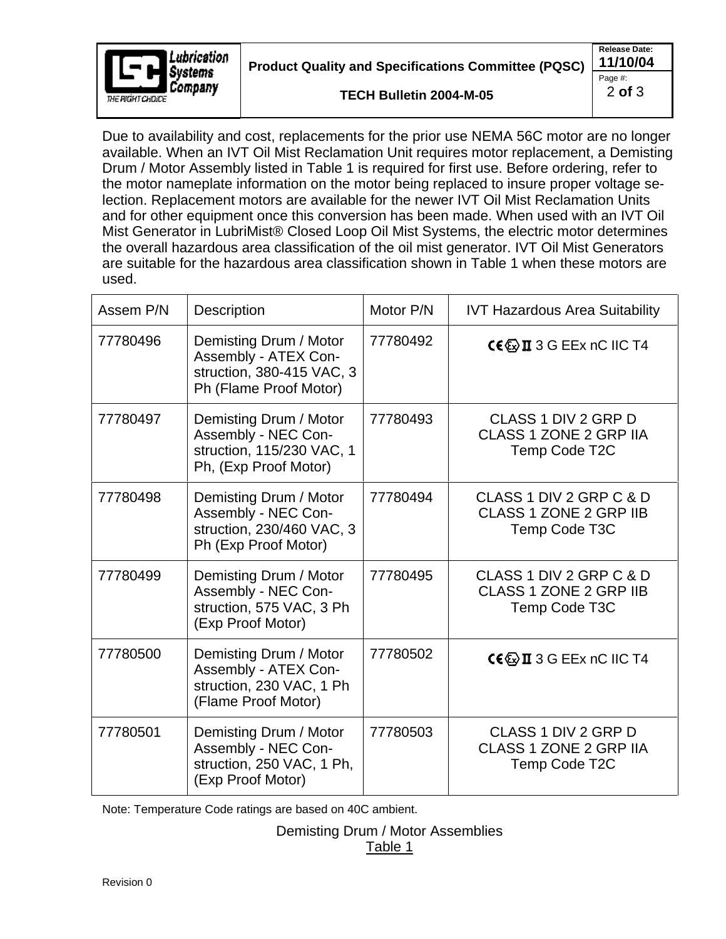

**Product Quality and Specifications Committee (PQSC) 11/10/04**

**TECH Bulletin 2004-M-05**

**Release Date:** Page #:  $\qquad \qquad \blacksquare$ 2 **of** 3

Due to availability and cost, replacements for the prior use NEMA 56C motor are no longer available. When an IVT Oil Mist Reclamation Unit requires motor replacement, a Demisting Drum / Motor Assembly listed in Table 1 is required for first use. Before ordering, refer to the motor nameplate information on the motor being replaced to insure proper voltage selection. Replacement motors are available for the newer IVT Oil Mist Reclamation Units and for other equipment once this conversion has been made. When used with an IVT Oil Mist Generator in LubriMist® Closed Loop Oil Mist Systems, the electric motor determines the overall hazardous area classification of the oil mist generator. IVT Oil Mist Generators are suitable for the hazardous area classification shown in Table 1 when these motors are used. The contract of the contract of the contract of the contract of the contract of the contract of the contract of the contract of the contract of the contract of the contract of the contract of the contract of the cont

| Assem P/N | Description                                                                                           | Motor P/N | <b>IVT Hazardous Area Suitability</b>                              |
|-----------|-------------------------------------------------------------------------------------------------------|-----------|--------------------------------------------------------------------|
| 77780496  | Demisting Drum / Motor<br>Assembly - ATEX Con-<br>struction, 380-415 VAC, 3<br>Ph (Flame Proof Motor) | 77780492  | $C \in \mathbb{Q}$ II 3 G EEx nC IIC T4                            |
| 77780497  | Demisting Drum / Motor<br>Assembly - NEC Con-<br>struction, 115/230 VAC, 1<br>Ph, (Exp Proof Motor)   | 77780493  | CLASS 1 DIV 2 GRP D<br>CLASS 1 ZONE 2 GRP IIA<br>Temp Code T2C     |
| 77780498  | Demisting Drum / Motor<br>Assembly - NEC Con-<br>struction, 230/460 VAC, 3<br>Ph (Exp Proof Motor)    | 77780494  | CLASS 1 DIV 2 GRP C & D<br>CLASS 1 ZONE 2 GRP IIB<br>Temp Code T3C |
| 77780499  | Demisting Drum / Motor<br>Assembly - NEC Con-<br>struction, 575 VAC, 3 Ph<br>(Exp Proof Motor)        | 77780495  | CLASS 1 DIV 2 GRP C & D<br>CLASS 1 ZONE 2 GRP IIB<br>Temp Code T3C |
| 77780500  | Demisting Drum / Motor<br>Assembly - ATEX Con-<br>struction, 230 VAC, 1 Ph<br>(Flame Proof Motor)     | 77780502  | $C \in \mathbb{Z}$ II 3 G EEx nC IIC T4                            |
| 77780501  | Demisting Drum / Motor<br>Assembly - NEC Con-<br>struction, 250 VAC, 1 Ph,<br>(Exp Proof Motor)       | 77780503  | CLASS 1 DIV 2 GRP D<br>CLASS 1 ZONE 2 GRP IIA<br>Temp Code T2C     |

Note: Temperature Code ratings are based on 40C ambient.

Demisting Drum / Motor Assemblies Table 1 and 1 and 1 and 1 and 1 and 1 and 1 and 1 and 1 and 1 and 1 and 1 and 1 and 1 and 1 and 1 and 1 and 1